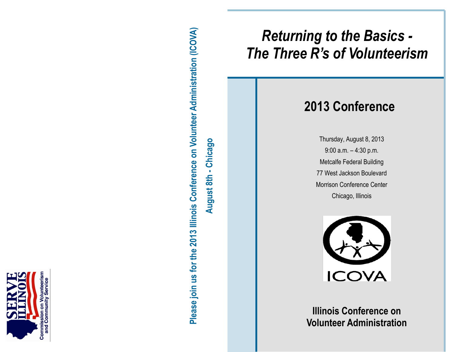

**Please join us for the 2013 Illinois Conference on Volunteer Administration (ICOVA)** Please join us for the 2013 Illinois Conference on Volunteer Administration (ICOVA) August 8th - Chicago **August 8th - Chicago**

# *Returning to the Basics - The Three R's of Volunteerism*

# **2013 Conference**

Thursday, August 8, 2013 9:00 a.m. – 4:30 p.m. Metcalfe Federal Building 77 West Jackson Boulevard Morrison Conference Center Chicago, Illinois



**Illinois Conference on Volunteer Administration**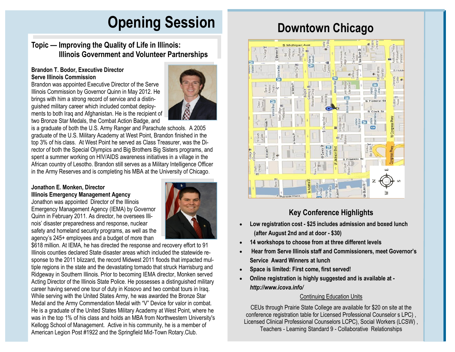# **Opening Session Downtown Chicago**

# **Topic — Improving the Quality of Life in Illinois: Illinois Government and Volunteer Partnerships**

# **Brandon T. Bodor, Executive Director Serve Illinois Commission**

Brandon was appointed Executive Director of the Serve Illinois Commission by Governor Quinn in May 2012. He brings with him a strong record of service and a distinguished military career which included combat deployments to both Iraq and Afghanistan. He is the recipient of two Bronze Star Medals, the Combat Action Badge, and



is a graduate of both the U.S. Army Ranger and Parachute schools. A 2005 graduate of the U.S. Military Academy at West Point, Brandon finished in the top 3% of his class. At West Point he served as Class Treasurer, was the Director of both the Special Olympics and Big Brothers Big Sisters programs, and spent a summer working on HIV/AIDS awareness initiatives in a village in the African country of Lesotho. Brandon still serves as a Military Intelligence Officer in the Army Reserves and is completing his MBA at the University of Chicago.

# **Jonathon E. Monken, Director Illinois Emergency Management Agency**

Jonathon was appointed Director of the Illinois Emergency Management Agency (IEMA) by Governor Quinn in February 2011. As director, he oversees Illinois' disaster preparedness and response, nuclear safety and homeland security programs, as well as the agency's 245+ employees and a budget of more than



\$618 million. At IEMA, he has directed the response and recovery effort to 91 Illinois counties declared State disaster areas which included the statewide response to the 2011 blizzard, the record Midwest 2011 floods that impacted multiple regions in the state and the devastating tornado that struck Harrisburg and Ridgeway in Southern Illinois. Prior to becoming IEMA director, Monken served Acting Director of the Illinois State Police. He possesses a distinguished military career having served one tour of duty in Kosovo and two combat tours in Iraq. While serving with the United States Army, he was awarded the Bronze Star Medal and the Army Commendation Medal with "V" Device for valor in combat. He is a graduate of the United States Military Academy at West Point, where he was in the top 1% of his class and holds an MBA from Northwestern University's Kellogg School of Management. Active in his community, he is a member of American Legion Post #1922 and the Springfield Mid-Town Rotary.Club.



# **Key Conference Highlights**

- **Low registration cost - \$25 includes admission and boxed lunch (after August 2nd and at door - \$30)**
- **14 workshops to choose from at three different levels**
- **Hear from Serve Illinois staff and Commissioners, meet Governor's Service Award Winners at lunch**
- **Space is limited: First come, first served!**
- **Online registration is highly suggested and is available at**  *http://www.icova.info/*

# Continuing Education Units

CEUs through Prairie State College are available for \$20 on site at the conference registration table for Licensed Professional Counselor s LPC) , Licensed Clinical Professional Counselors LCPC), Social Workers (LCSW) , Teachers - Learning Standard 9 - Collaborative Relationships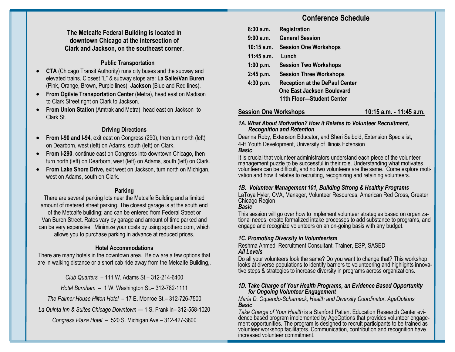# **Conference Schedule**

# **The Metcalfe Federal Building is located in downtown Chicago at the intersection of Clark and Jackson, on the southeast corner**.

## **Public Transportation**

- **CTA** (Chicago Transit Authority) runs city buses and the subway and elevated trains. Closest "L" & subway stops are: **La Salle/Van Buren**  (Pink, Orange, Brown, Purple lines), **Jackson** (Blue and Red lines).
- **From Ogilvie Transportation Center** (Metra), head east on Madison to Clark Street right on Clark to Jackson.
- **From Union Station** (Amtrak and Metra), head east on Jackson to Clark St.

# **Driving Directions**

- **From I-90 and I-94**, exit east on Congress (290), then turn north (left) on Dearborn, west (left) on Adams, south (left) on Clark.
- **From I-290**, continue east on Congress into downtown Chicago, then turn north (left) on Dearborn, west (left) on Adams, south (left) on Clark.
- **From Lake Shore Drive,** exit west on Jackson, turn north on Michigan, west on Adams, south on Clark.

### **Parking**

There are several parking lots near the Metcalfe Building and a limited amount of metered street parking. The closest garage is at the south end of the Metcalfe building; and can be entered from Federal Street or Van Buren Street. Rates vary by garage and amount of time parked and can be very expensive. Minimize your costs by using spothero.com, which allows you to purchase parking in advance at reduced prices.

# **Hotel Accommodations**

There are many hotels in the downtown area. Below are a few options that are in walking distance or a short cab ride away from the Metcalfe Building,.

*Club Quarters* – 111 W. Adams St.– 312-214-6400

*Hotel Burnham* – 1 W. Washington St.– 312-782-1111

*The Palmer House Hilton Hotel* – 17 E. Monroe St.– 312-726-7500

*La Quinta Inn & Suites Chicago Downtown* — 1 S. Franklin– 312-558-1020

*Congress Plaza Hotel* – 520 S. Michigan Ave.– 312-427-3800

| 8:30a.m.     | <b>Registration</b>                   |
|--------------|---------------------------------------|
| 9:00a.m.     | <b>General Session</b>                |
| $10:15$ a.m. | <b>Session One Workshops</b>          |
| $11:45$ a.m. | Lunch                                 |
| 1:00 $p.m.$  | <b>Session Two Workshops</b>          |
| 2:45 p.m.    | <b>Session Three Workshops</b>        |
| 4:30 p.m.    | <b>Reception at the DePaul Center</b> |
|              | <b>One East Jackson Boulevard</b>     |
|              | 11th Floor-Student Center             |

# **Session One Workshops 10:15 a.m. - 11:45 a.m.**

#### *1A. What About Motivation? How it Relates to Volunteer Recruitment, Recognition and Retention*

Deanna Roby, Extension Educator, and Sheri Seibold, Extension Specialist, 4-H Youth Development, University of Illinois Extension

#### *Basic*

It is crucial that volunteer administrators understand each piece of the volunteer management puzzle to be successful in their role. Understanding what motivates volunteers can be difficult, and no two volunteers are the same. Come explore motivation and how it relates to recruiting, recognizing and retaining volunteers.

### *1B. Volunteer Management 101, Building Strong & Healthy Programs*

LaToya Hyler, CVA, Manager, Volunteer Resources, American Red Cross, Greater Chicago Region

## *Basic*

This session will go over how to implement volunteer strategies based on organizational needs, create formalized intake processes to add substance to programs, and engage and recognize volunteers on an on-going basis with any budget.

# *1C. Promoting Diversity in Volunteerism*

Reshma Ahmed, Recruitment Consultant, Trainer, ESP, SASED *All Levels* 

Do all your volunteers look the same? Do you want to change that? This workshop looks at diverse populations to identify barriers to volunteering and highlights innovative steps & strategies to increase diversity in programs across organizations.

#### *1D. Take Charge of Your Health Programs, an Evidence Based Opportunity for Ongoing Volunteer Engagement*

*Maria D. Oquendo-Scharneck, Health and Diversity Coordinator, AgeOptions Basic*

*Take Charge of Your Health* is a Stanford Patient Education Research Center evidence based program implemented by AgeOptions that provides volunteer engagement opportunities. The program is designed to recruit participants to be trained as volunteer workshop facilitators. Communication, contribution and recognition have increased volunteer commitment.